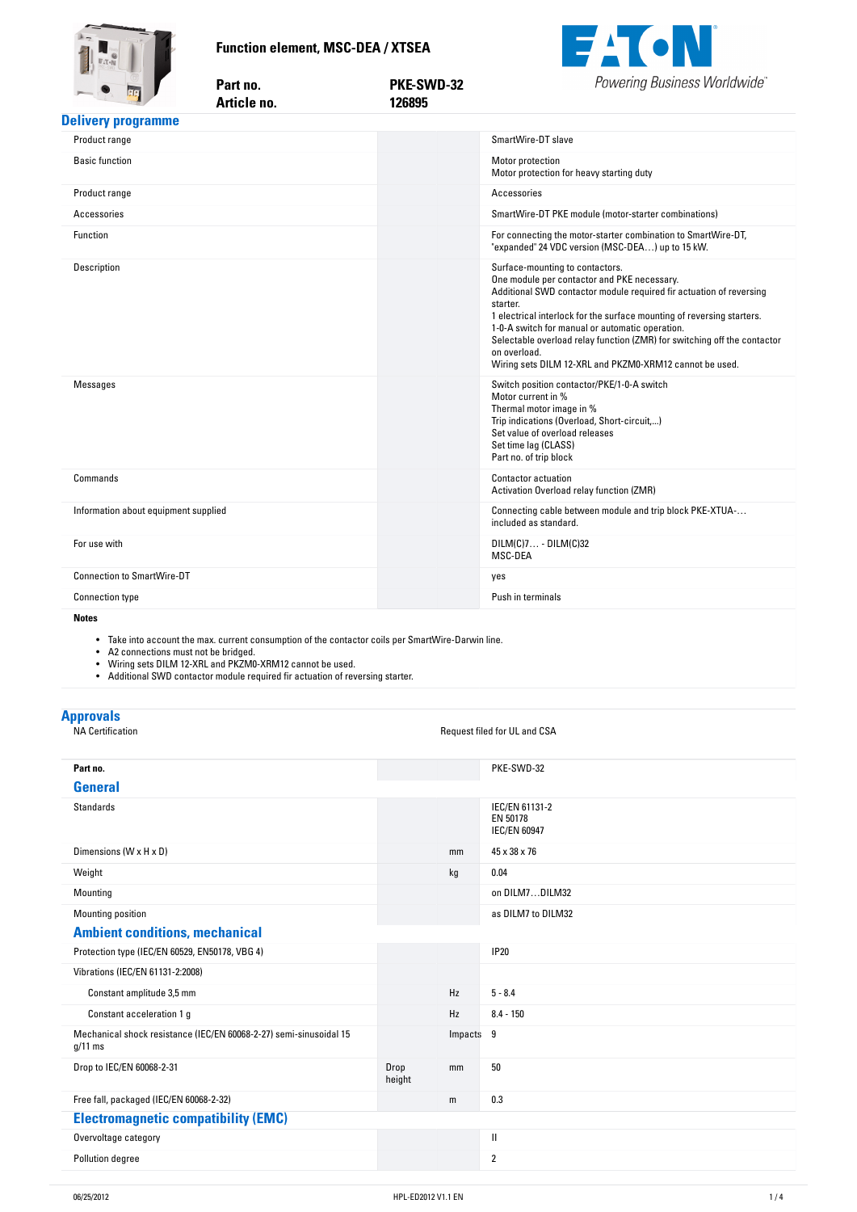**Function-element,-MSC-DEA-/-XTSEA**

Part no.



<span id="page-0-0"></span>

| THE R. P. LEWIS CO., LANSING MICH.   | Article no. | 126895 |                                                                                                                                                                                                                                                                                                                                                                                                                                                       |
|--------------------------------------|-------------|--------|-------------------------------------------------------------------------------------------------------------------------------------------------------------------------------------------------------------------------------------------------------------------------------------------------------------------------------------------------------------------------------------------------------------------------------------------------------|
| <b>Delivery programme</b>            |             |        |                                                                                                                                                                                                                                                                                                                                                                                                                                                       |
| Product range                        |             |        | SmartWire-DT slave                                                                                                                                                                                                                                                                                                                                                                                                                                    |
| <b>Basic function</b>                |             |        | Motor protection<br>Motor protection for heavy starting duty                                                                                                                                                                                                                                                                                                                                                                                          |
| Product range                        |             |        | Accessories                                                                                                                                                                                                                                                                                                                                                                                                                                           |
| Accessories                          |             |        | SmartWire-DT PKE module (motor-starter combinations)                                                                                                                                                                                                                                                                                                                                                                                                  |
| Function                             |             |        | For connecting the motor-starter combination to SmartWire-DT,<br>"expanded" 24 VDC version (MSC-DEA) up to 15 kW.                                                                                                                                                                                                                                                                                                                                     |
| Description                          |             |        | Surface-mounting to contactors.<br>One module per contactor and PKE necessary.<br>Additional SWD contactor module required fir actuation of reversing<br>starter.<br>1 electrical interlock for the surface mounting of reversing starters.<br>1-0-A switch for manual or automatic operation.<br>Selectable overload relay function (ZMR) for switching off the contactor<br>on overload.<br>Wiring sets DILM 12-XRL and PKZM0-XRM12 cannot be used. |
| <b>Messages</b>                      |             |        | Switch position contactor/PKE/1-0-A switch<br>Motor current in %<br>Thermal motor image in %<br>Trip indications (Overload, Short-circuit,)<br>Set value of overload releases<br>Set time lag (CLASS)<br>Part no. of trip block                                                                                                                                                                                                                       |
| Commands                             |             |        | <b>Contactor actuation</b><br>Activation Overload relay function (ZMR)                                                                                                                                                                                                                                                                                                                                                                                |
| Information about equipment supplied |             |        | Connecting cable between module and trip block PKE-XTUA-<br>included as standard.                                                                                                                                                                                                                                                                                                                                                                     |
| For use with                         |             |        | $DILM(C)7 - DILM(C)32$<br>MSC-DEA                                                                                                                                                                                                                                                                                                                                                                                                                     |
| <b>Connection to SmartWire-DT</b>    |             |        | yes                                                                                                                                                                                                                                                                                                                                                                                                                                                   |
| <b>Connection type</b>               |             |        | Push in terminals                                                                                                                                                                                                                                                                                                                                                                                                                                     |
| <b>Notes</b>                         |             |        |                                                                                                                                                                                                                                                                                                                                                                                                                                                       |

**no. PKE-SWD-32**

**Notes**

 $\bullet$  Take into account the max. current consumption of the contactor coils per SmartWire-Darwin line.

• A2 connections must not be bridged.

• Wiring sets DILM 12-XRL and PKZM0-XRM12 cannot be used.

• Additional SWD contactor module required fir actuation of reversing starter.

| <b>Approvals</b><br><b>NA Certification</b>                                     |                |           | Request filed for UL and CSA                      |
|---------------------------------------------------------------------------------|----------------|-----------|---------------------------------------------------|
|                                                                                 |                |           |                                                   |
| Part no.                                                                        |                |           | PKE-SWD-32                                        |
| <b>General</b>                                                                  |                |           |                                                   |
| <b>Standards</b>                                                                |                |           | IEC/EN 61131-2<br>EN 50178<br><b>IEC/EN 60947</b> |
| Dimensions (W x H x D)                                                          |                | mm        | 45 x 38 x 76                                      |
| Weight                                                                          |                | kg        | 0.04                                              |
| Mounting                                                                        |                |           | on DILM7DILM32                                    |
| Mounting position                                                               |                |           | as DILM7 to DILM32                                |
| <b>Ambient conditions, mechanical</b>                                           |                |           |                                                   |
| Protection type (IEC/EN 60529, EN50178, VBG 4)                                  |                |           | <b>IP20</b>                                       |
| Vibrations (IEC/EN 61131-2:2008)                                                |                |           |                                                   |
| Constant amplitude 3,5 mm                                                       |                | Hz        | $5 - 8.4$                                         |
| Constant acceleration 1 g                                                       |                | Hz        | $8.4 - 150$                                       |
| Mechanical shock resistance (IEC/EN 60068-2-27) semi-sinusoidal 15<br>$g/11$ ms |                | Impacts 9 |                                                   |
| Drop to IEC/EN 60068-2-31                                                       | Drop<br>height | mm        | 50                                                |
| Free fall, packaged (IEC/EN 60068-2-32)                                         |                | m         | 0.3                                               |
| <b>Electromagnetic compatibility (EMC)</b>                                      |                |           |                                                   |
| Overvoltage category                                                            |                |           | Ш                                                 |
| Pollution degree                                                                |                |           | $\overline{2}$                                    |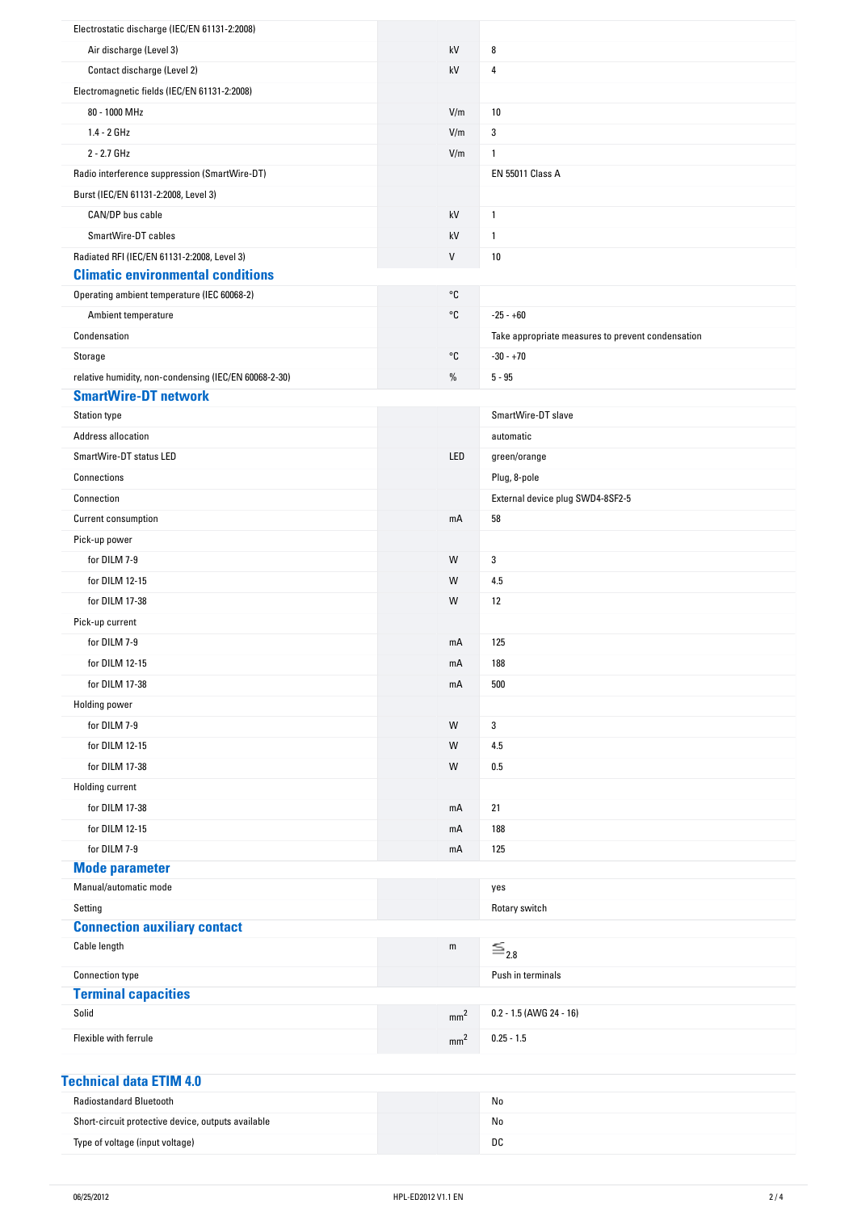| Electrostatic discharge (IEC/EN 61131-2:2008)         |                   |                                                   |
|-------------------------------------------------------|-------------------|---------------------------------------------------|
| Air discharge (Level 3)                               | kV                | 8                                                 |
| Contact discharge (Level 2)                           | kV                | 4                                                 |
| Electromagnetic fields (IEC/EN 61131-2:2008)          |                   |                                                   |
| 80 - 1000 MHz                                         | V/m               | 10                                                |
| $1.4 - 2 GHz$                                         | V/m               | 3                                                 |
| 2 - 2.7 GHz                                           | V/m               | $\mathbf{1}$                                      |
| Radio interference suppression (SmartWire-DT)         |                   | EN 55011 Class A                                  |
| Burst (IEC/EN 61131-2:2008, Level 3)                  |                   |                                                   |
| CAN/DP bus cable                                      | kV                | $\mathbf{1}$                                      |
| SmartWire-DT cables                                   | kV                | $\mathbf{1}$                                      |
| Radiated RFI (IEC/EN 61131-2:2008, Level 3)           | V                 | $10\,$                                            |
| <b>Climatic environmental conditions</b>              |                   |                                                   |
| Operating ambient temperature (IEC 60068-2)           | °C                |                                                   |
| Ambient temperature                                   | °C                | $-25 - +60$                                       |
| Condensation                                          |                   | Take appropriate measures to prevent condensation |
| Storage                                               | $^{\circ}{\tt C}$ | $-30 - +70$                                       |
| relative humidity, non-condensing (IEC/EN 60068-2-30) | %                 | $5 - 95$                                          |
| <b>SmartWire-DT network</b>                           |                   |                                                   |
| <b>Station type</b>                                   |                   | SmartWire-DT slave                                |
| Address allocation                                    |                   | automatic                                         |
| SmartWire-DT status LED                               | LED               | green/orange                                      |
| Connections                                           |                   | Plug, 8-pole                                      |
| Connection                                            |                   | External device plug SWD4-8SF2-5                  |
| Current consumption                                   | mA                | 58                                                |
| Pick-up power                                         |                   |                                                   |
| for DILM 7-9                                          | W                 | 3                                                 |
| for DILM 12-15                                        | W                 | 4.5                                               |
| for DILM 17-38                                        | W                 | 12                                                |
| Pick-up current                                       |                   |                                                   |
| for DILM 7-9                                          | mA                | 125                                               |
| for DILM 12-15                                        | mA                | 188                                               |
| for DILM 17-38                                        | mA                | 500                                               |
| <b>Holding power</b>                                  |                   |                                                   |
| for DILM 7-9                                          | W                 | 3                                                 |
| for DILM 12-15                                        | W                 | 4.5                                               |
| for DILM 17-38                                        | W                 | 0.5                                               |
| Holding current                                       |                   |                                                   |
| for DILM 17-38                                        | mA                | 21                                                |
| for DILM 12-15                                        | mA                | 188                                               |
| for DILM 7-9                                          | mA                | 125                                               |
| <b>Mode parameter</b>                                 |                   |                                                   |
| Manual/automatic mode                                 |                   | yes                                               |
| Setting                                               |                   | Rotary switch                                     |
| <b>Connection auxiliary contact</b>                   |                   |                                                   |
| Cable length                                          | ${\sf m}$         | $\equiv_{2.8}$                                    |
| Connection type                                       |                   | Push in terminals                                 |
| <b>Terminal capacities</b>                            |                   |                                                   |
| Solid                                                 | mm <sup>2</sup>   | 0.2 - 1.5 (AWG 24 - 16)                           |
| Flexible with ferrule                                 | mm <sup>2</sup>   | $0.25 - 1.5$                                      |
|                                                       |                   |                                                   |
|                                                       |                   |                                                   |

| Technical data ETIM 4.0                            |    |  |
|----------------------------------------------------|----|--|
| <b>Radiostandard Bluetooth</b>                     | No |  |
| Short-circuit protective device, outputs available | No |  |
| Type of voltage (input voltage)                    | DC |  |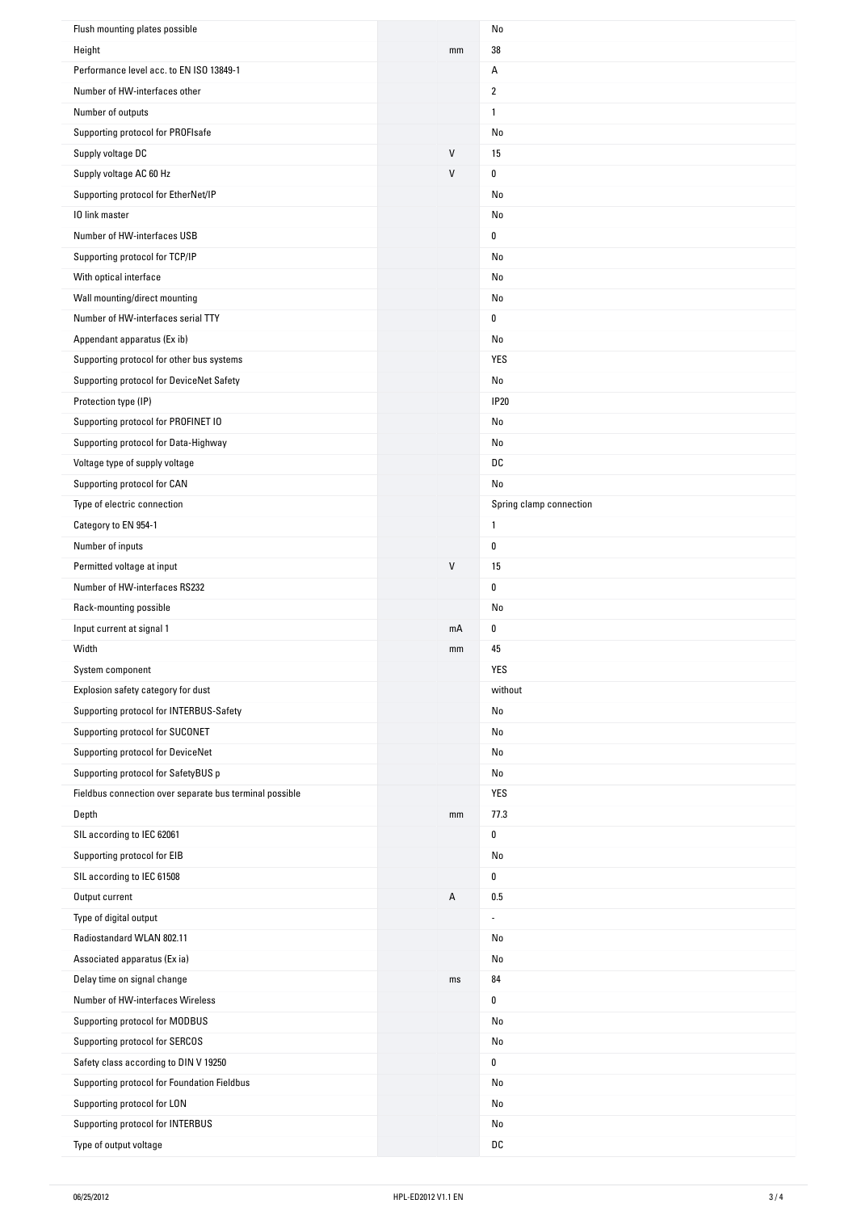| Flush mounting plates possible                          |              | No                      |
|---------------------------------------------------------|--------------|-------------------------|
| Height                                                  | mm           | 38                      |
| Performance level acc. to EN ISO 13849-1                |              | А                       |
| Number of HW-interfaces other                           |              | $\overline{2}$          |
| Number of outputs                                       |              | 1                       |
| Supporting protocol for PROFIsafe                       |              | No                      |
| Supply voltage DC                                       | $\mathsf{V}$ | 15                      |
| Supply voltage AC 60 Hz                                 | $\mathsf{V}$ | 0                       |
| Supporting protocol for EtherNet/IP                     |              | No                      |
| 10 link master                                          |              | No                      |
| Number of HW-interfaces USB                             |              | 0                       |
| Supporting protocol for TCP/IP                          |              | No                      |
| With optical interface                                  |              | No                      |
| Wall mounting/direct mounting                           |              | No                      |
| Number of HW-interfaces serial TTY                      |              | 0                       |
| Appendant apparatus (Ex ib)                             |              | No                      |
| Supporting protocol for other bus systems               |              | YES                     |
| Supporting protocol for DeviceNet Safety                |              | No                      |
| Protection type (IP)                                    |              | <b>IP20</b>             |
| Supporting protocol for PROFINET IO                     |              | No                      |
| Supporting protocol for Data-Highway                    |              | No                      |
| Voltage type of supply voltage                          |              | DC                      |
| Supporting protocol for CAN                             |              | No                      |
| Type of electric connection                             |              | Spring clamp connection |
| Category to EN 954-1                                    |              | $\mathbf{1}$            |
| Number of inputs                                        |              | 0                       |
| Permitted voltage at input                              | $\mathsf{V}$ | 15                      |
| Number of HW-interfaces RS232                           |              | 0                       |
| Rack-mounting possible                                  |              | No                      |
| Input current at signal 1                               | mA           | 0                       |
| Width                                                   | mm           | 45                      |
| System component                                        |              | YES                     |
| Explosion safety category for dust                      |              | without                 |
| Supporting protocol for INTERBUS-Safety                 |              | No                      |
| Supporting protocol for SUCONET                         |              | No                      |
| Supporting protocol for DeviceNet                       |              | No                      |
| Supporting protocol for SafetyBUS p                     |              | No                      |
| Fieldbus connection over separate bus terminal possible |              | YES                     |
| Depth                                                   | mm           | 77.3                    |
| SIL according to IEC 62061                              |              | 0                       |
| Supporting protocol for EIB                             |              | No                      |
| SIL according to IEC 61508                              |              | 0                       |
| Output current                                          | А            | $0.5\,$                 |
| Type of digital output                                  |              |                         |
| Radiostandard WLAN 802.11                               |              | No                      |
| Associated apparatus (Ex ia)                            |              | No                      |
| Delay time on signal change                             | ms           | 84                      |
| Number of HW-interfaces Wireless                        |              | 0                       |
| Supporting protocol for MODBUS                          |              | No                      |
| Supporting protocol for SERCOS                          |              | No                      |
| Safety class according to DIN V 19250                   |              | 0                       |
| Supporting protocol for Foundation Fieldbus             |              | No                      |
| Supporting protocol for LON                             |              |                         |
|                                                         |              |                         |
|                                                         |              | No<br>No                |
| Supporting protocol for INTERBUS                        |              |                         |